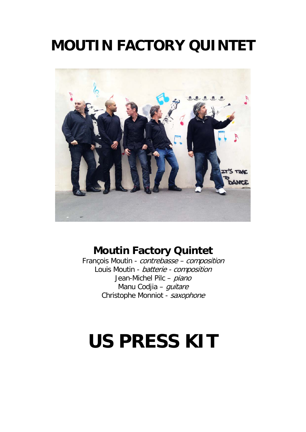## **MOUTIN FACTORY QUINTET**



### **Moutin Factory Quintet**

François Moutin - contrebasse – composition Louis Moutin - batterie - composition Jean-Michel Pilc - piano Manu Codjia - *guitare* Christophe Monniot - saxophone

# **US PRESS KIT**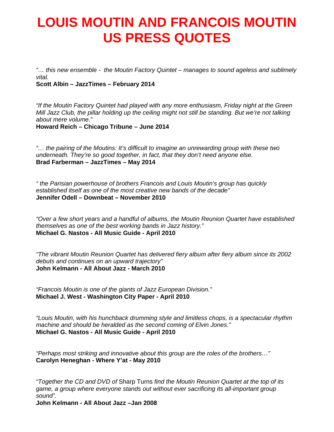### **LOUIS MOUTIN AND FRANCOIS MOUTIN US PRESS QUOTES**

*"… this new ensemble - the Moutin Factory Quintet – manages to sound ageless and sublimely vital.* 

**Scott Albin – JazzTimes – February 2014** 

*"If the Moutin Factory Quintet had played with any more enthusiasm, Friday night at the Green Mill Jazz Club, the pillar holding up the ceiling might not still be standing. But we're not talking about mere volume."*  **Howard Reich – Chicago Tribune – June 2014** 

*"… the pairing of the Moutins: It's difficult to imagine an unrewarding group with these two underneath. They're so good together, in fact, that they don't need anyone else.*  **Brad Farberman – JazzTimes – May 2014** 

*" the Parisian powerhouse of brothers Francois and Louis Moutin's group has quickly established itself as one of the most creative new bands of the decade"*  **Jennifer Odell – Downbeat – November 2010** 

*"Over a few short years and a handful of albums, the Moutin Reunion Quartet have established themselves as one of the best working bands in Jazz history."*  **Michael G. Nastos - All Music Guide - April 2010** 

*"The vibrant Moutin Reunion Quartet has delivered fiery album after fiery album since its 2002 debuts and continues on an upward trajectory"*  **John Kelmann - All About Jazz - March 2010** 

*"Francois Moutin is one of the giants of Jazz European Division."*  **Michael J. West - Washington City Paper - April 2010** 

*"Louis Moutin, with his hunchback drumming style and limitless chops, is a spectacular rhythm machine and should be heralded as the second coming of Elvin Jones."*  **Michael G. Nastos - All Music Guide - April 2010** 

*"Perhaps most striking and innovative about this group are the roles of the brothers…"*  **Carolyn Heneghan - Where Y'at - May 2010** 

*"Together the CD and DVD of* Sharp Turns *find the Moutin Reunion Quartet at the top of its game, a group where everyone stands out without ever sacrificing its all-important group sound".* 

**John Kelmann - All About Jazz –Jan 2008**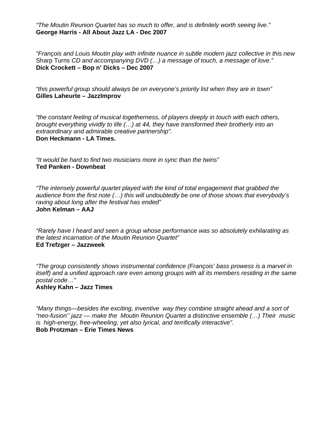*"The Moutin Reunion Quartet has so much to offer, and is definitely worth seeing live."*  **George Harris - All About Jazz LA - Dec 2007**

*"François and Louis Moutin play with infinite nuance in subtle modern jazz collective in this new*  Sharp Turns *CD and accompanying DVD (…) a message of touch, a message of love."*  **Dick Crockett – Bop n' Dicks – Dec 2007**

*"this powerful group should always be on everyone's priority list when they are in town"* **Gilles Laheurte – JazzImprov**

*"the constant feeling of musical togetherness, of players deeply in touch with each others, brought everything vividly to life (…) at 44, they have transformed their brotherly into an extraordinary and admirable creative partnership".* **Don Heckmann - LA Times.**

*"It would be hard to find two musicians more in sync than the twins"* **Ted Panken - Downbeat**

*"The intensely powerful quartet played with the kind of total engagement that grabbed the audience from the first note (…) this will undoubtedly be one of those shows that everybody's raving about long after the festival has ended"* **John Kelman – AAJ**

*"Rarely have I heard and seen a group whose performance was so absolutely exhilarating as the latest incarnation of the Moutin Reunion Quartet"* **Ed Trefzger – Jazzweek**

*"The group consistently shows instrumental confidence (François' bass prowess is a marvel in itself)* and a unified approach rare even among groups with all its members residing in the same *postal code…"*

**Ashley Kahn – Jazz Times** 

*"Many things—besides the exciting, inventive way they combine straight ahead and a sort of "neo-fusion'' jazz — make the Moutin Reunion Quartet a distinctive ensemble (…) Their music is high-energy, free-wheeling, yet also lyrical, and terrifically interactive".* **Bob Protzman – Erie Times News**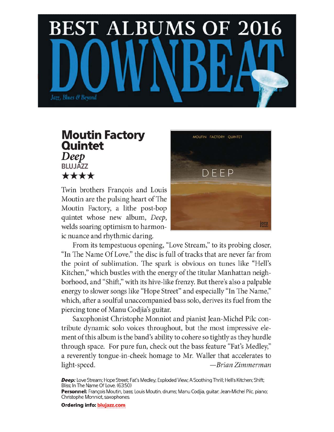

### **Moutin Factory Quintet** Deep **BLUJAZZ** \*\*\*\*

Twin brothers François and Louis Moutin are the pulsing heart of The Moutin Factory, a lithe post-bop quintet whose new album, Deep, welds soaring optimism to harmonic nuance and rhythmic daring.



From its tempestuous opening, "Love Stream," to its probing closer, "In The Name Of Love," the disc is full of tracks that are never far from the point of sublimation. The spark is obvious on tunes like "Hell's Kitchen," which bustles with the energy of the titular Manhattan neighborhood, and "Shift," with its hive-like frenzy. But there's also a palpable energy to slower songs like "Hope Street" and especially "In The Name," which, after a soulful unaccompanied bass solo, derives its fuel from the piercing tone of Manu Codjia's guitar.

Saxophonist Christophe Monniot and pianist Jean-Michel Pilc contribute dynamic solo voices throughout, but the most impressive element of this album is the band's ability to cohere so tightly as they hurdle through space. For pure fun, check out the bass feature "Fat's Medley," a reverently tongue-in-cheek homage to Mr. Waller that accelerates to light-speed. —Brian Zimmerman

Deep: Love Stream; Hope Street; Fat's Medley; Exploded View; A Soothing Thrill; Hell's Kitchen; Shift; Bliss; In The Name Of Love. (63:50)

**Personnel:** François Moutin, bass; Louis Moutin, drums; Manu Codjia, guitar; Jean-Michel Pilc, piano; Christophe Monniot, saxophones.

**Ordering info: blujazz.com**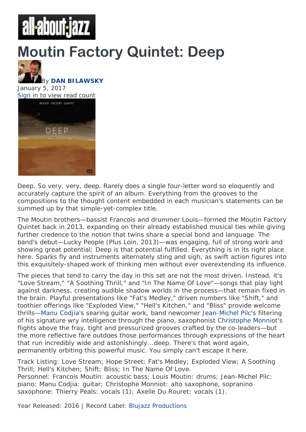# all-about-jazz

# **Moutin Factory Quintet: Deep**



#### By **DAN BILAWSKY** January 5, 2017 Sign in to view read count



Deep. So very, very, deep. Rarely does a single four-letter word so eloquently and accurately capture the spirit of an album. Everything from the grooves to the compositions to the thought content embedded in each musician's statements can be summed up by that simple-yet-complex title.

The Moutin brothers—bassist Francois and drummer Louis—formed the Moutin Factory Quintet back in 2013, expanding on their already established musical ties while giving further credence to the notion that twins share a special bond and language. The band's debut—*Lucky People* (Plus Loin, 2013)—was engaging, full of strong work and showing great potential; *Deep* is that potential fulfilled. Everything is in its right place here. Sparks fly and instruments alternately sting and sigh, as swift action figures into this exquisitely-shaped work of thinking men without ever overextending its influence.

The pieces that tend to carry the day in this set are not the most driven. Instead, it's "Love Stream," "A Soothing Thrill," and "In The Name Of Love"—songs that play light against darkness, creating audible shadow worlds in the process—that remain fixed in the brain. Playful presentations like "Fat's Medley," driven numbers like "Shift," and toothier offerings like "Exploded View," "Hell's Kitchen," and "Bliss" provide welcome thrills—Manu Codjia's searing guitar work, band newcomer Jean-Michel Pilc's filtering of his signature wry intelligence through the piano, saxophonist Christophe Monniot's flights above the fray, tight and pressurized grooves crafted by the co-leaders—but the more reflective fare outdoes those performances through expressions of the heart that run incredibly wide and astonishingly...deep. There's that word again, permanently orbiting this powerful music. You simply can't escape it here.

Track Listing: Love Stream; Hope Street; Fat's Medley; Exploded View; A Soothing Thrill; Hell's Kitchen; Shift; Bliss; In The Name Of Love. Personnel: Francois Moutin: acoustic bass; Louis Moutin: drums; Jean-Michel Pilc: piano; Manu Codjia: guitar; Christophe Monniot: alto saxophone, sopranino saxophone: Thierry Peals: vocals (1); Axelle Du Rouret: vocals (1).

Year Released: 2016 | Record Label: Blujazz Productions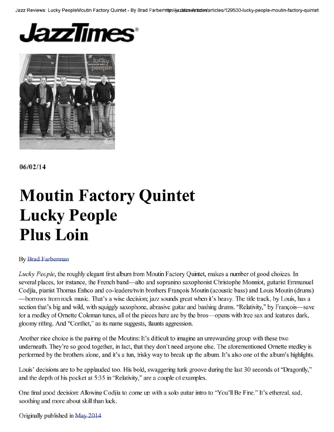Jazz Reviews: Lucky PeopleMoutin Factory Quintet - By Brad Farberhttan/hazbatane atticles/129500-lucky-people-moutin-factory-quintet





 $06/02/14$ 

# **Moutin Factory Quintet Lucky People Plus Loin**

#### **By Brad Farberman**

Lucky People, the roughly elegant first album from Moutin Factory Quintet, makes a number of good choices. In several places, for instance, the French band—alto and sopranino saxophonist Christophe Monniot, guitarist Emmanuel Codjia, pianist Thomas Enhco and co-leaders/twin brothers François Moutin (acoustic bass) and Louis Moutin (drums) -borrows from rock music. That's a wise decision; jazz sounds great when it's heavy. The title track, by Louis, has a section that's big and wild, with squiggly saxophone, abrasive guitar and bashing drums. "Relativity," by François—save for a medley of Ornette Coleman tunes, all of the pieces here are by the bros—opens with free sax and features dark, gloomy riffing. And "Conflict," as its name suggests, flaunts aggression.

Another nice choice is the pairing of the Moutins: It's difficult to imagine an unrewarding group with these two underneath. They're so good together, in fact, that they don't need anyone else. The aforementioned Ornette medley is performed by the brothers alone, and it's a fun, frisky way to break up the album. It's also one of the album's highlights.

Louis' decisions are to be applauded too. His bold, swaggering funk groove during the last 30 seconds of "Dragonfly," and the depth of his pocket at 5:35 in "Relativity," are a couple of examples.

One final good decision: Allowing Codjia to come up with a solo guitar intro to "You'll Be Fine." It's ethereal, sad, soothing and more about skill than luck.

Originally published in May 2014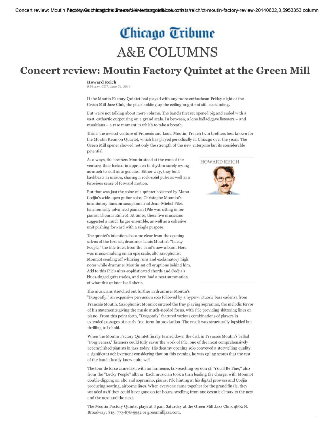### Chicago Tribune **A&E COLUMNS**

### **Concert review: Moutin Factory Quintet at the Green Mill**

#### **Howard Reich**

9:51 a.m. CDT, June 21, 2014

If the Moutin Factory Quintet had played with any more enthusiasm Friday night at the Green Mill Jazz Club, the pillar holding up the ceiling might not still be standing.

But we're not talking about mere volume. The band's first set opened big and ended with a vast, cathartic outpouring on a grand scale. In between, a lone ballad gave listeners - and musicians - a rare moment in which to take a breath.

This is the newest venture of Francois and Louis Moutin, French twin brothers best known for the Moutin Reunion Quartet, which has played periodically in Chicago over the years. The Green Mill opener showed not only the strength of the new enterprise but its considerable potential.

As always, the brothers Moutin stood at the core of the venture, their locked-in approach to rhythm surely owing as much to skill as to genetics. Either way, they built backbeats in unison, sharing a rock-solid pulse as well as a ferocious sense of forward motion.

But that was just the spine of a quintet bolstered by Manu Codjia's wide-open guitar solos, Christophe Monniot's incantatory lines on saxophone and Jean-Michel Pilc's harmonically advanced pianism (Pilc was sitting in for pianist Thomas Enhco). At times, these five musicians suggested a much larger ensemble, as well as a cohesive unit pushing forward with a single purpose.

The quintet's intentions became clear from the opening salvos of the first set, drummer Louis Moutin's "Lucky People," the title track from the band's new album. Here was music-making on an epic scale, alto saxophonist Monniot sending off whirring runs and exclamatory high notes while drummer Moutin set off eruptions behind him. Add to this Pilc's ultra-sophisticated chords and Codjia's blues-tinged guitar solos, and you had a neat summation of what this quintet is all about.

The musicians stretched out further in drummer Moutin's

"Dragonfly," an expansive percussion solo followed by a hyper-virtuosic bass cadenza from Francois Moutin. Saxophonist Monniot entered the fray playing sopranino, the melodic fervor of his statements giving the music much-needed focus, with Pilc providing skittering lines on piano. From this point forth, "Dragonfly" featured various combinations of players in extended passages of nearly free-form improvisation. The result was structurally lopsided but thrilling to behold.

When the Moutin Factory Quintet finally turned down the dial, in Francois Moutin's ballad "Forgiveness," listeners could fully savor the work of Pilc, one of the most comprehensively accomplished pianists in jazz today. His dreamy opening solo conveyed a storytelling quality, a significant achievement considering that on this evening he was ogling scores that the rest of the band already knew quite well.

The tour de force came last, with an immense, far-reaching version of "You'll Be Fine," also from the "Lucky People" album. Each musician took a turn leading the charge, with Monniot double-dipping on alto and sopranino, pianist Pilc hinting at his digital prowess and Codjia producing soaring, airborne lines. When everyone came together for the grand finale, they sounded as if they could have gone on for hours, swelling from one ecstatic climax to the next and the next and the next.

The Moutin Factory Quintet plays at 8 p.m. Saturday at the Green Mill Jazz Club, 4802 N. Broadway; \$15; 773-878-5552 or greenmilljazz.com.



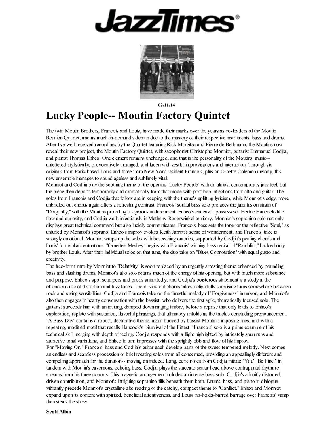



 $02/11/14$ 

### **Lucky People-- Moutin Factory Quintet**

The twin Moutin Brothers, Francois and Louis, have made their marks over the years as co-leaders of the Moutin Reunion Quartet, and as much-in-demand sideman due to the mastery of their respective instruments, bass and drums. After five well-received recordings by the Quartet featuring Rick Margitza and Pierre de Bethmann, the Moutins now reveal their new project, the Moutin Factory Ouintet, with saxophonist Christophe Monniot, guitarist Emmanuel Codiia, and pianist Thomas Enhco. One element remains unchanged, and that is the personality of the Moutins' music-unfettered stylistically, provocatively arranged, and laden with zestful improvisations and interaction. Through six originals from Paris-based Louis and three from New York resident Francois, plus an Ornette Coleman melody, this new ensemble manages to sound ageless and sublimely vital.

Monniot and Codjia play the soothing theme of the opening "Lucky People" with an almost contemporary jazz feel, but the piece then departs temporarily and dramatically from that mode with post bop inflections from alto and guitar. The solos from Francois and Codjia that follow are in keeping with the theme's uplitting lyricism, while Monniot's edgy, more unbridled out chorus again offers a refreshing contrast. Francois' soulful bass solo prefaces the jazz fusion strain of "Dragonfly," with the Moutins providing a vigorous undercurrent. Enhco's endeavor possesses a Herbie Hancock-like flow and curiosity, and Codjia wails infectiously in Metheny-Rosenwinkel territory. Monniot's sopranino solo not only displays great technical command but also lucidly communicates. Francois' bass sets the tone for the reflective "Soul," as unturled by Monniot's soprano. Enhco's improv evokes Keith Jarrett's sense of wonderment, and Francois' take is strongly emotional. Monniot wraps up the solos with beseeching outcries, supported by Codjia's pealing chords and Louis' forceful accentuations. "Ornette's Medley" begins with Francois' winning bass recital of "Ramblin'," backed only by brother Louis. After their individual solos on that tune, the duo take on "Blues Connotation" with equal gusto and creativity.

The free-form intro by Monniot to "Relativity" is soon replaced by an urgently arresting theme enhanced by pounding bass and slashing drums. Monniot's alto solo retains much of the energy of his opening, but with much more substance and purpose. Enhco's spot scampers and prods animatedly, and Codjia's boisterous statement is a study in the efficacious use of distortion and fuzz tones. The driving out chorus takes delightfully surprising turns somewhere between rock and swing sensibilities. Codjia and Francois take on the thrustful melody of "Forgiveness" in unison, and Monniot's alto then engages in hearty conversation with the bassist, who delivers the first agile, thematically focused solo. The guitarist succeeds him with an inviting, damped down ringing timbre, before a reprise that only leads to Enhco's exploration, replete with sustained, flavorful phrasings, that ultimately unfolds as the track's concluding pronouncement. "A Busy Day" contains a robust, declarative theme, again buoyed by bassist Moutin's imposing lines, and with a repeating, modified motif that recalls Hancock's "Survival of the Fittest." Francois' solo is a prime example of his technical skill merging with depth of feeling. Codita responds with a flight highlighted by intricately spun runs and attractive tonal variations, and Enhco in turn impresses with the sprightly ebb and flow of his improv. For "Moving On," Francois' bass and Codjia's guitar each develop parts of the sweet-tempered melody. Next comes an endless and seamless procession of brief rotating solos from all concerned, providing an appealingly different and compelling approach for the duration-- moving on indeed. Long, eerie notes from Codjia initiate "You'll Be Fine," in tandem with Moutin's cavernous, echoing bass. Codjia plays the staccato scalar head above contrapuntal rhythmic streams from his three cohorts. This magnetic arrangement includes an intense bass solo, Codjia's adroitly distorted, driven contribution, and Monniot's intriguing sopranino fills beneath them both. Drums, bass, and piano in dialogue vibrantly precede Monniot's crystalline alto reading of the catchy, compact theme to "Conflict." Enhco and Monniot expand upon its content with spirited, beneficial attentiveness, and Louis' no-holds-barred barrage over Francois' vamp then steals the show.